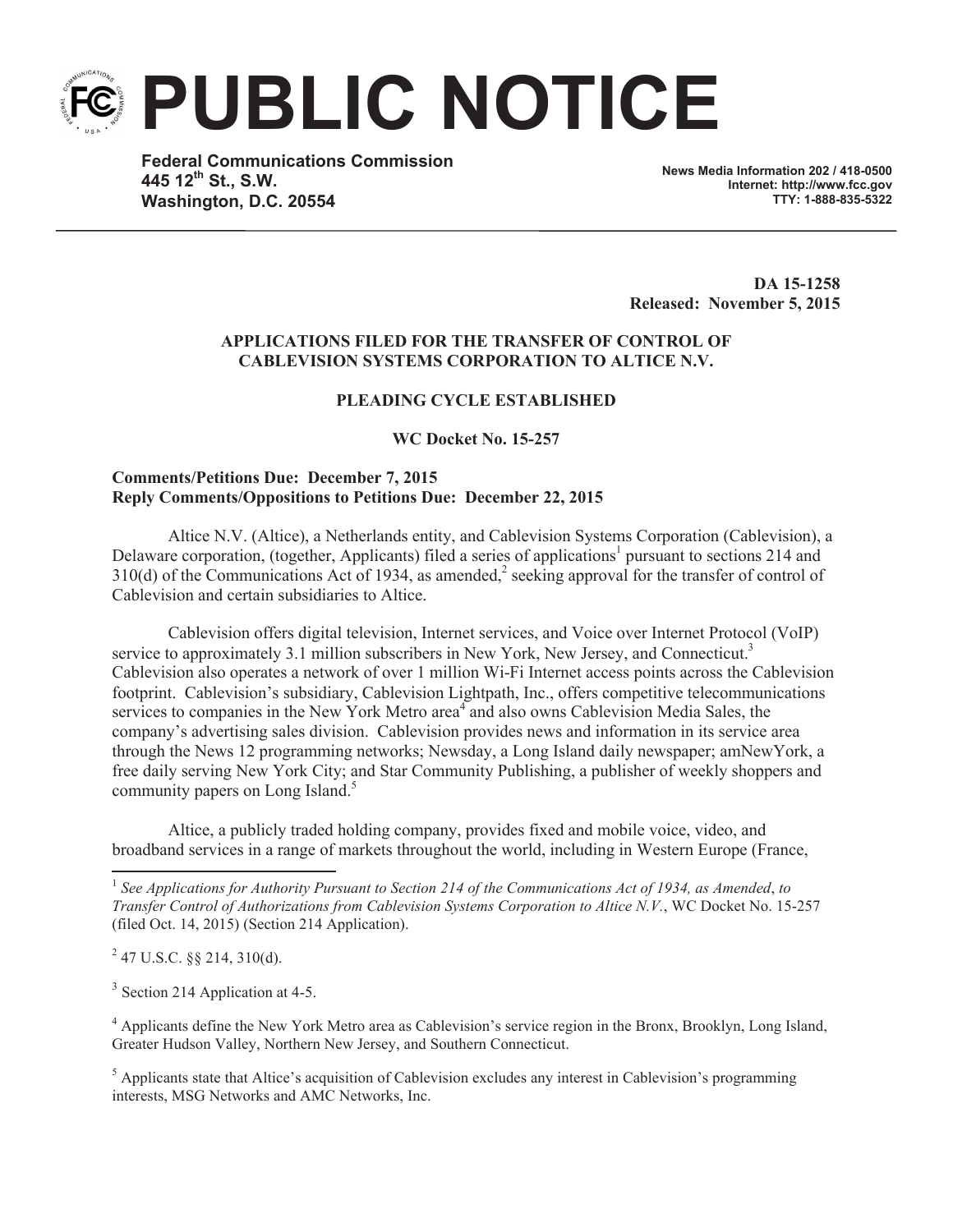**PUBLIC NOTICE**

**Federal Communications Commission 445 12th St., S.W. Washington, D.C. 20554**

**News Media Information 202 / 418-0500 Internet: http://www.fcc.gov TTY: 1-888-835-5322**

**DA 15-1258 Released: November 5, 2015**

# **APPLICATIONS FILED FOR THE TRANSFER OF CONTROL OF CABLEVISION SYSTEMS CORPORATION TO ALTICE N.V.**

## **PLEADING CYCLE ESTABLISHED**

**WC Docket No. 15-257**

### **Comments/Petitions Due: December 7, 2015 Reply Comments/Oppositions to Petitions Due: December 22, 2015**

Altice N.V. (Altice), a Netherlands entity, and Cablevision Systems Corporation (Cablevision), a Delaware corporation, (together, Applicants) filed a series of applications<sup>1</sup> pursuant to sections 214 and  $310(d)$  of the Communications Act of 1934, as amended,<sup>2</sup> seeking approval for the transfer of control of Cablevision and certain subsidiaries to Altice.

Cablevision offers digital television, Internet services, and Voice over Internet Protocol (VoIP) service to approximately 3.1 million subscribers in New York, New Jersey, and Connecticut.<sup>3</sup> Cablevision also operates a network of over 1 million Wi-Fi Internet access points across the Cablevision footprint. Cablevision's subsidiary, Cablevision Lightpath, Inc., offers competitive telecommunications services to companies in the New York Metro area<sup>4</sup> and also owns Cablevision Media Sales, the company's advertising sales division. Cablevision provides news and information in its service area through the News 12 programming networks; Newsday, a Long Island daily newspaper; amNewYork, a free daily serving New York City; and Star Community Publishing, a publisher of weekly shoppers and community papers on Long Island.<sup>5</sup>

Altice, a publicly traded holding company, provides fixed and mobile voice, video, and broadband services in a range of markets throughout the world, including in Western Europe (France,

1 *See Applications for Authority Pursuant to Section 214 of the Communications Act of 1934, as Amended*, *to Transfer Control of Authorizations from Cablevision Systems Corporation to Altice N.V.*, WC Docket No. 15-257 (filed Oct. 14, 2015) (Section 214 Application).

 $^{2}$  47 U.S.C. §§ 214, 310(d).

<sup>3</sup> Section 214 Application at 4-5.

<sup>4</sup> Applicants define the New York Metro area as Cablevision's service region in the Bronx, Brooklyn, Long Island, Greater Hudson Valley, Northern New Jersey, and Southern Connecticut.

<sup>5</sup> Applicants state that Altice's acquisition of Cablevision excludes any interest in Cablevision's programming interests, MSG Networks and AMC Networks, Inc.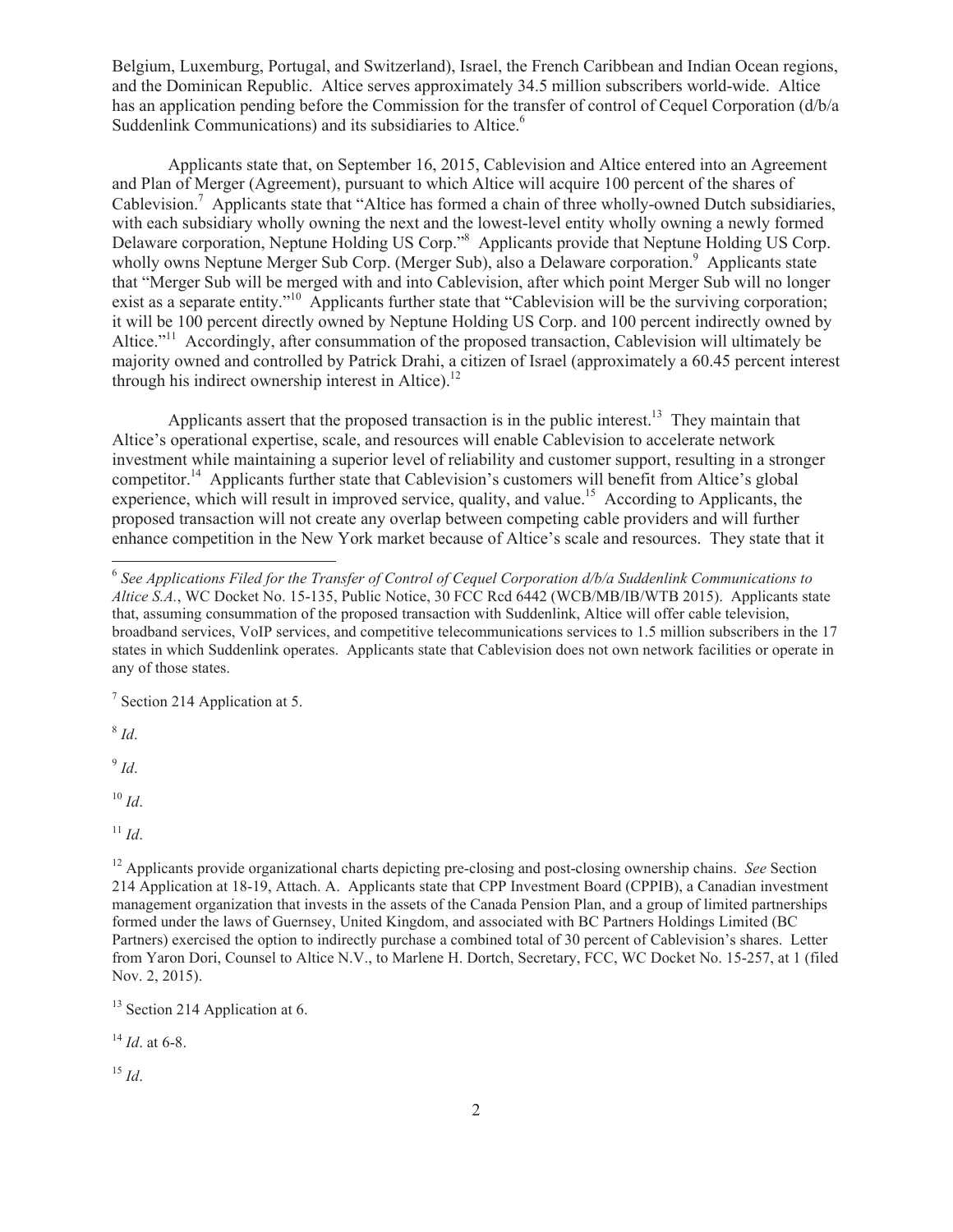Belgium, Luxemburg, Portugal, and Switzerland), Israel, the French Caribbean and Indian Ocean regions, and the Dominican Republic. Altice serves approximately 34.5 million subscribers world-wide. Altice has an application pending before the Commission for the transfer of control of Cequel Corporation (d/b/a Suddenlink Communications) and its subsidiaries to Altice.<sup>6</sup>

Applicants state that, on September 16, 2015, Cablevision and Altice entered into an Agreement and Plan of Merger (Agreement), pursuant to which Altice will acquire 100 percent of the shares of Cablevision.<sup>7</sup> Applicants state that "Altice has formed a chain of three wholly-owned Dutch subsidiaries, with each subsidiary wholly owning the next and the lowest-level entity wholly owning a newly formed Delaware corporation, Neptune Holding US Corp."<sup>8</sup> Applicants provide that Neptune Holding US Corp. wholly owns Neptune Merger Sub Corp. (Merger Sub), also a Delaware corporation.<sup>9</sup> Applicants state that "Merger Sub will be merged with and into Cablevision, after which point Merger Sub will no longer exist as a separate entity."<sup>10</sup> Applicants further state that "Cablevision will be the surviving corporation; it will be 100 percent directly owned by Neptune Holding US Corp. and 100 percent indirectly owned by Altice."<sup>11</sup> Accordingly, after consummation of the proposed transaction, Cablevision will ultimately be majority owned and controlled by Patrick Drahi, a citizen of Israel (approximately a 60.45 percent interest through his indirect ownership interest in Altice). $^{12}$ 

Applicants assert that the proposed transaction is in the public interest.<sup>13</sup> They maintain that Altice's operational expertise, scale, and resources will enable Cablevision to accelerate network investment while maintaining a superior level of reliability and customer support, resulting in a stronger competitor.<sup>14</sup> Applicants further state that Cablevision's customers will benefit from Altice's global experience, which will result in improved service, quality, and value.<sup>15</sup> According to Applicants, the proposed transaction will not create any overlap between competing cable providers and will further enhance competition in the New York market because of Altice's scale and resources. They state that it

<sup>7</sup> Section 214 Application at 5.

8 *Id*.

9 *Id*.

<sup>10</sup> *Id*.

<sup>11</sup> *Id*.

<sup>12</sup> Applicants provide organizational charts depicting pre-closing and post-closing ownership chains. *See* Section 214 Application at 18-19, Attach. A. Applicants state that CPP Investment Board (CPPIB), a Canadian investment management organization that invests in the assets of the Canada Pension Plan, and a group of limited partnerships formed under the laws of Guernsey, United Kingdom, and associated with BC Partners Holdings Limited (BC Partners) exercised the option to indirectly purchase a combined total of 30 percent of Cablevision's shares. Letter from Yaron Dori, Counsel to Altice N.V., to Marlene H. Dortch, Secretary, FCC, WC Docket No. 15-257, at 1 (filed Nov. 2, 2015).

<sup>13</sup> Section 214 Application at 6.

<sup>14</sup> *Id*. at 6-8.

<sup>15</sup> *Id*.

<sup>6</sup> *See Applications Filed for the Transfer of Control of Cequel Corporation d/b/a Suddenlink Communications to Altice S.A.*, WC Docket No. 15-135, Public Notice, 30 FCC Rcd 6442 (WCB/MB/IB/WTB 2015). Applicants state that, assuming consummation of the proposed transaction with Suddenlink, Altice will offer cable television, broadband services, VoIP services, and competitive telecommunications services to 1.5 million subscribers in the 17 states in which Suddenlink operates. Applicants state that Cablevision does not own network facilities or operate in any of those states.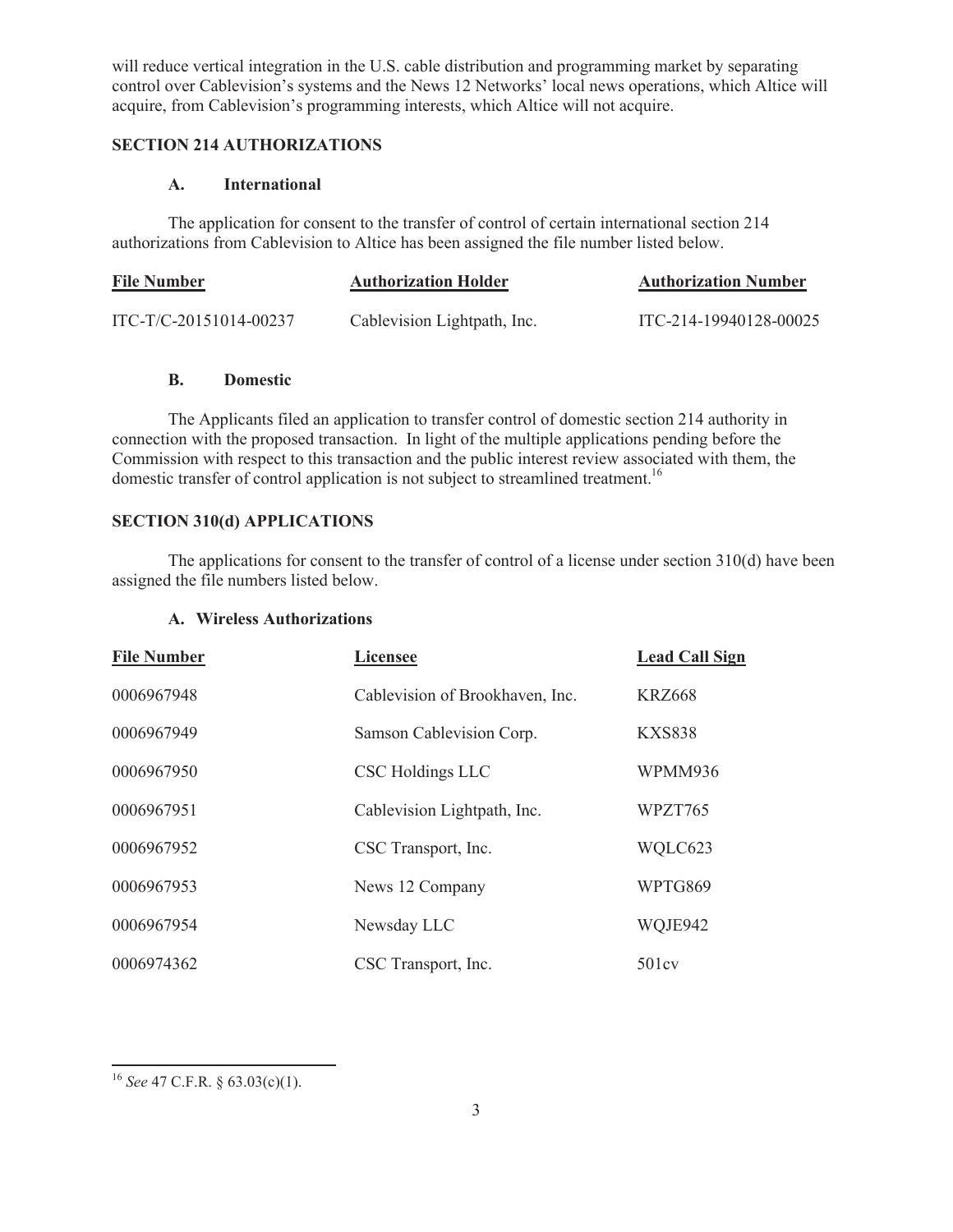will reduce vertical integration in the U.S. cable distribution and programming market by separating control over Cablevision's systems and the News 12 Networks' local news operations, which Altice will acquire, from Cablevision's programming interests, which Altice will not acquire.

# **SECTION 214 AUTHORIZATIONS**

### **A. International**

The application for consent to the transfer of control of certain international section 214 authorizations from Cablevision to Altice has been assigned the file number listed below.

| <b>File Number</b>       | <b>Authorization Holder</b> | <b>Authorization Number</b> |
|--------------------------|-----------------------------|-----------------------------|
| $ITC-T/C-20151014-00237$ | Cablevision Lightpath, Inc. | ITC-214-19940128-00025      |

## **B. Domestic**

The Applicants filed an application to transfer control of domestic section 214 authority in connection with the proposed transaction. In light of the multiple applications pending before the Commission with respect to this transaction and the public interest review associated with them, the domestic transfer of control application is not subject to streamlined treatment.<sup>16</sup>

# **SECTION 310(d) APPLICATIONS**

The applications for consent to the transfer of control of a license under section 310(d) have been assigned the file numbers listed below.

# **A. Wireless Authorizations**

| <b>File Number</b> | <b>Licensee</b>                 | <b>Lead Call Sign</b> |
|--------------------|---------------------------------|-----------------------|
| 0006967948         | Cablevision of Brookhaven, Inc. | <b>KRZ668</b>         |
| 0006967949         | Samson Cablevision Corp.        | <b>KXS838</b>         |
| 0006967950         | <b>CSC Holdings LLC</b>         | WPMM936               |
| 0006967951         | Cablevision Lightpath, Inc.     | WPZT765               |
| 0006967952         | CSC Transport, Inc.             | WQLC623               |
| 0006967953         | News 12 Company                 | WPTG869               |
| 0006967954         | Newsday LLC                     | WQJE942               |
| 0006974362         | CSC Transport, Inc.             | 501cy                 |

<sup>16</sup> *See* 47 C.F.R. § 63.03(c)(1).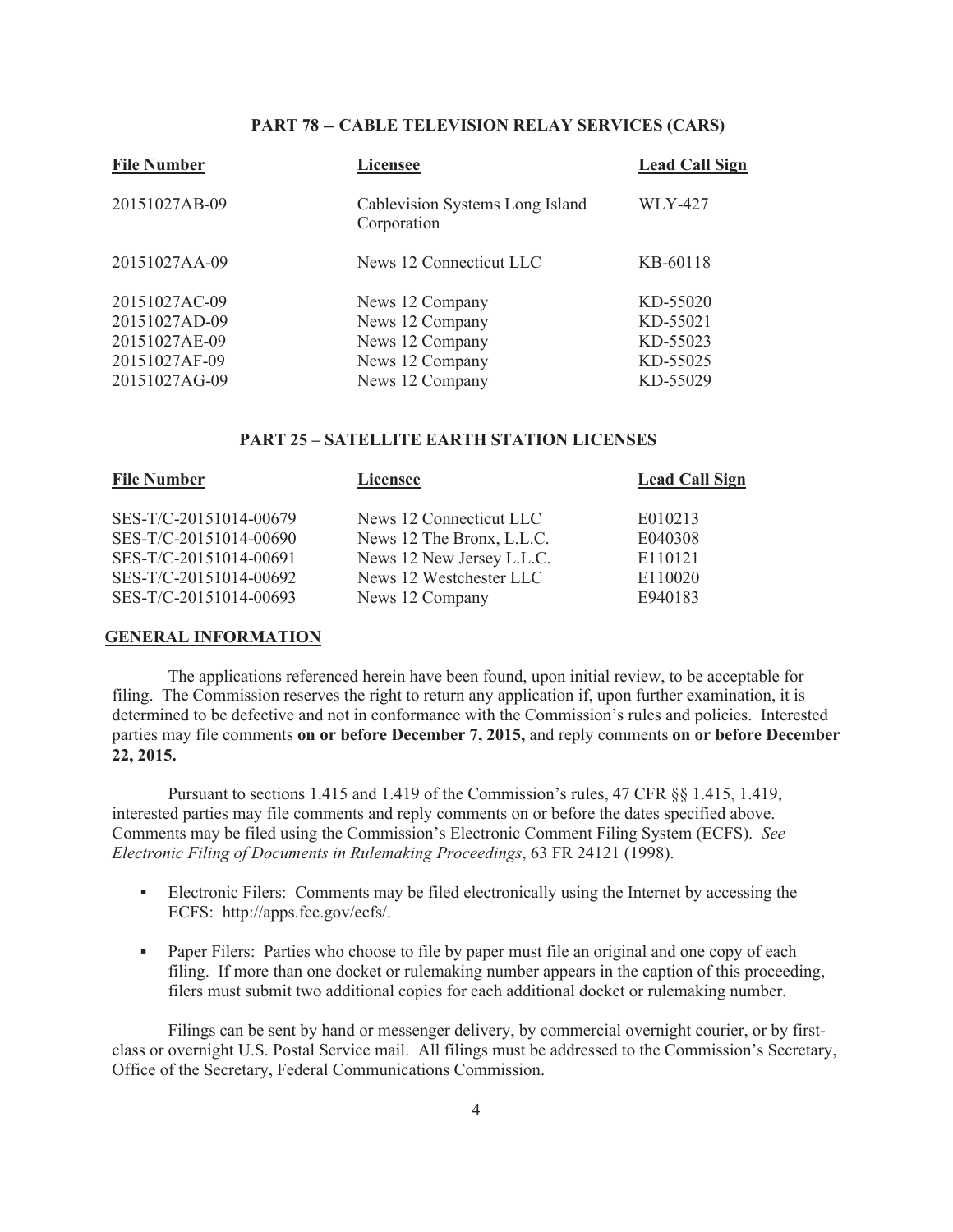#### **PART 78 -- CABLE TELEVISION RELAY SERVICES (CARS)**

| <b>Licensee</b>                                | <b>Lead Call Sign</b>              |
|------------------------------------------------|------------------------------------|
| Cablevision Systems Long Island<br>Corporation | <b>WLY-427</b>                     |
| News 12 Connecticut LLC                        | KB-60118                           |
| News 12 Company                                | KD-55020                           |
|                                                | KD-55021                           |
|                                                | KD-55023                           |
| News 12 Company                                | KD-55025                           |
| News 12 Company                                | KD-55029                           |
|                                                | News 12 Company<br>News 12 Company |

#### **PART 25 – SATELLITE EARTH STATION LICENSES**

| <b>File Number</b>     | <b>Licensee</b>           | <b>Lead Call Sign</b> |
|------------------------|---------------------------|-----------------------|
| SES-T/C-20151014-00679 | News 12 Connecticut LLC   | E010213               |
| SES-T/C-20151014-00690 | News 12 The Bronx, L.L.C. | E040308               |
| SES-T/C-20151014-00691 | News 12 New Jersey L.L.C. | E110121               |
| SES-T/C-20151014-00692 | News 12 Westchester LLC   | E110020               |
| SES-T/C-20151014-00693 | News 12 Company           | E940183               |
|                        |                           |                       |

#### **GENERAL INFORMATION**

The applications referenced herein have been found, upon initial review, to be acceptable for filing. The Commission reserves the right to return any application if, upon further examination, it is determined to be defective and not in conformance with the Commission's rules and policies. Interested parties may file comments **on or before December 7, 2015,** and reply comments **on or before December 22, 2015.**

Pursuant to sections 1.415 and 1.419 of the Commission's rules, 47 CFR §§ 1.415, 1.419, interested parties may file comments and reply comments on or before the dates specified above. Comments may be filed using the Commission's Electronic Comment Filing System (ECFS). *See Electronic Filing of Documents in Rulemaking Proceedings*, 63 FR 24121 (1998).

- Electronic Filers: Comments may be filed electronically using the Internet by accessing the ECFS: http://apps.fcc.gov/ecfs/.
- Paper Filers: Parties who choose to file by paper must file an original and one copy of each filing. If more than one docket or rulemaking number appears in the caption of this proceeding, filers must submit two additional copies for each additional docket or rulemaking number.

Filings can be sent by hand or messenger delivery, by commercial overnight courier, or by firstclass or overnight U.S. Postal Service mail. All filings must be addressed to the Commission's Secretary, Office of the Secretary, Federal Communications Commission.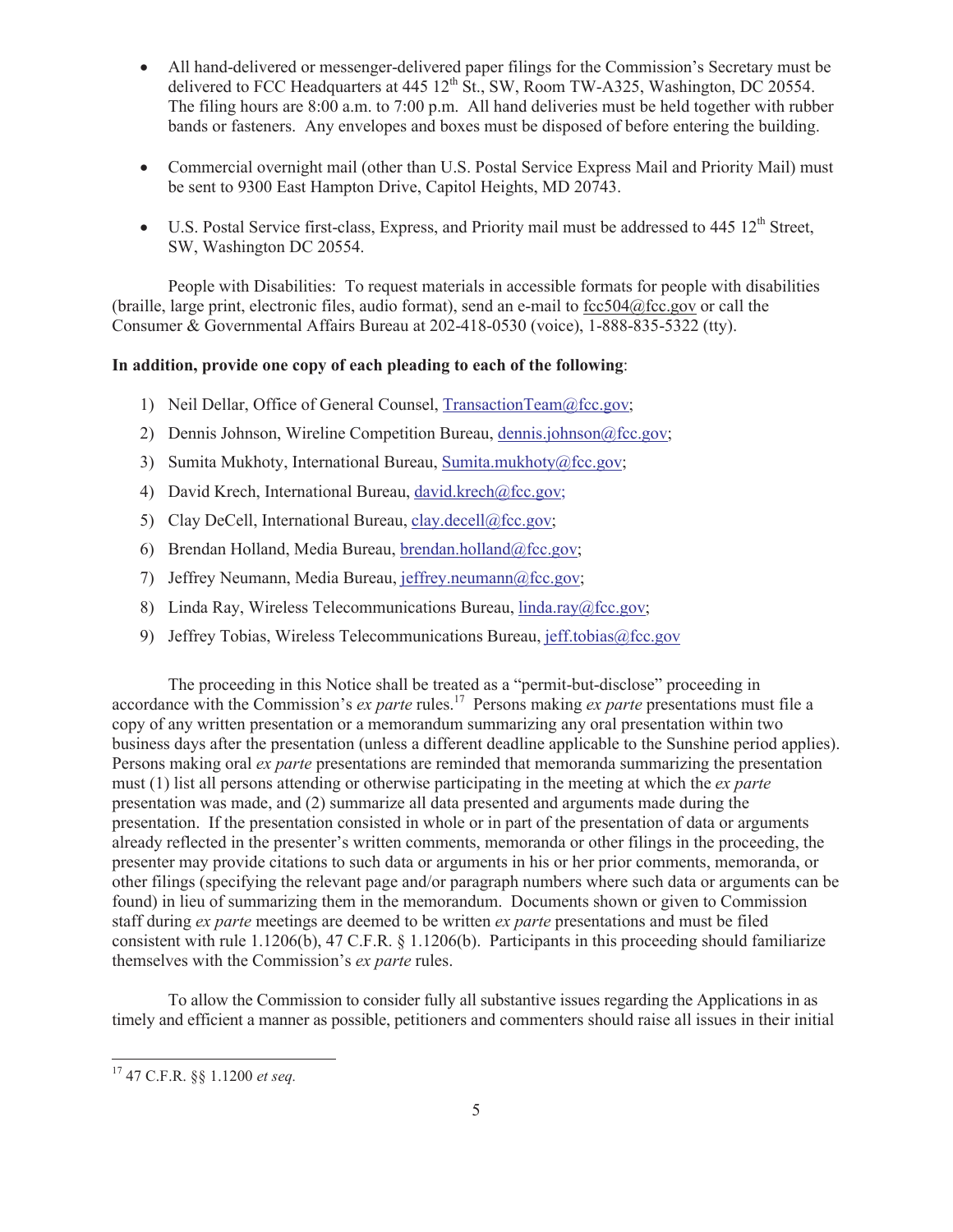- · All hand-delivered or messenger-delivered paper filings for the Commission's Secretary must be delivered to FCC Headquarters at  $445 \frac{12^{th}}{S}t$ , SW, Room TW-A325, Washington, DC 20554. The filing hours are 8:00 a.m. to 7:00 p.m. All hand deliveries must be held together with rubber bands or fasteners. Any envelopes and boxes must be disposed of before entering the building.
- Commercial overnight mail (other than U.S. Postal Service Express Mail and Priority Mail) must be sent to 9300 East Hampton Drive, Capitol Heights, MD 20743.
- U.S. Postal Service first-class, Express, and Priority mail must be addressed to  $445 \times 12^{th}$  Street. SW, Washington DC 20554.

People with Disabilities: To request materials in accessible formats for people with disabilities (braille, large print, electronic files, audio format), send an e-mail to fcc504@fcc.gov or call the Consumer & Governmental Affairs Bureau at 202-418-0530 (voice), 1-888-835-5322 (tty).

## **In addition, provide one copy of each pleading to each of the following**:

- 1) Neil Dellar, Office of General Counsel, TransactionTeam@fcc.gov;
- 2) Dennis Johnson, Wireline Competition Bureau, dennis.johnson@fcc.gov;
- 3) Sumita Mukhoty, International Bureau, Sumita.mukhoty@fcc.gov;
- 4) David Krech, International Bureau, david.krech@fcc.gov;
- 5) Clay DeCell, International Bureau, clay.decell@fcc.gov;
- 6) Brendan Holland, Media Bureau, brendan.holland@fcc.gov;
- 7) Jeffrey Neumann, Media Bureau, jeffrey.neumann@fcc.gov;
- 8) Linda Ray, Wireless Telecommunications Bureau, linda.ray@fcc.gov;
- 9) Jeffrey Tobias, Wireless Telecommunications Bureau, jeff.tobias@fcc.gov

The proceeding in this Notice shall be treated as a "permit-but-disclose" proceeding in accordance with the Commission's *ex parte* rules.<sup>17</sup> Persons making *ex parte* presentations must file a copy of any written presentation or a memorandum summarizing any oral presentation within two business days after the presentation (unless a different deadline applicable to the Sunshine period applies). Persons making oral *ex parte* presentations are reminded that memoranda summarizing the presentation must (1) list all persons attending or otherwise participating in the meeting at which the *ex parte*  presentation was made, and (2) summarize all data presented and arguments made during the presentation. If the presentation consisted in whole or in part of the presentation of data or arguments already reflected in the presenter's written comments, memoranda or other filings in the proceeding, the presenter may provide citations to such data or arguments in his or her prior comments, memoranda, or other filings (specifying the relevant page and/or paragraph numbers where such data or arguments can be found) in lieu of summarizing them in the memorandum. Documents shown or given to Commission staff during *ex parte* meetings are deemed to be written *ex parte* presentations and must be filed consistent with rule 1.1206(b), 47 C.F.R. § 1.1206(b). Participants in this proceeding should familiarize themselves with the Commission's *ex parte* rules.

To allow the Commission to consider fully all substantive issues regarding the Applications in as timely and efficient a manner as possible, petitioners and commenters should raise all issues in their initial

<sup>17</sup> 47 C.F.R. §§ 1.1200 *et seq.*